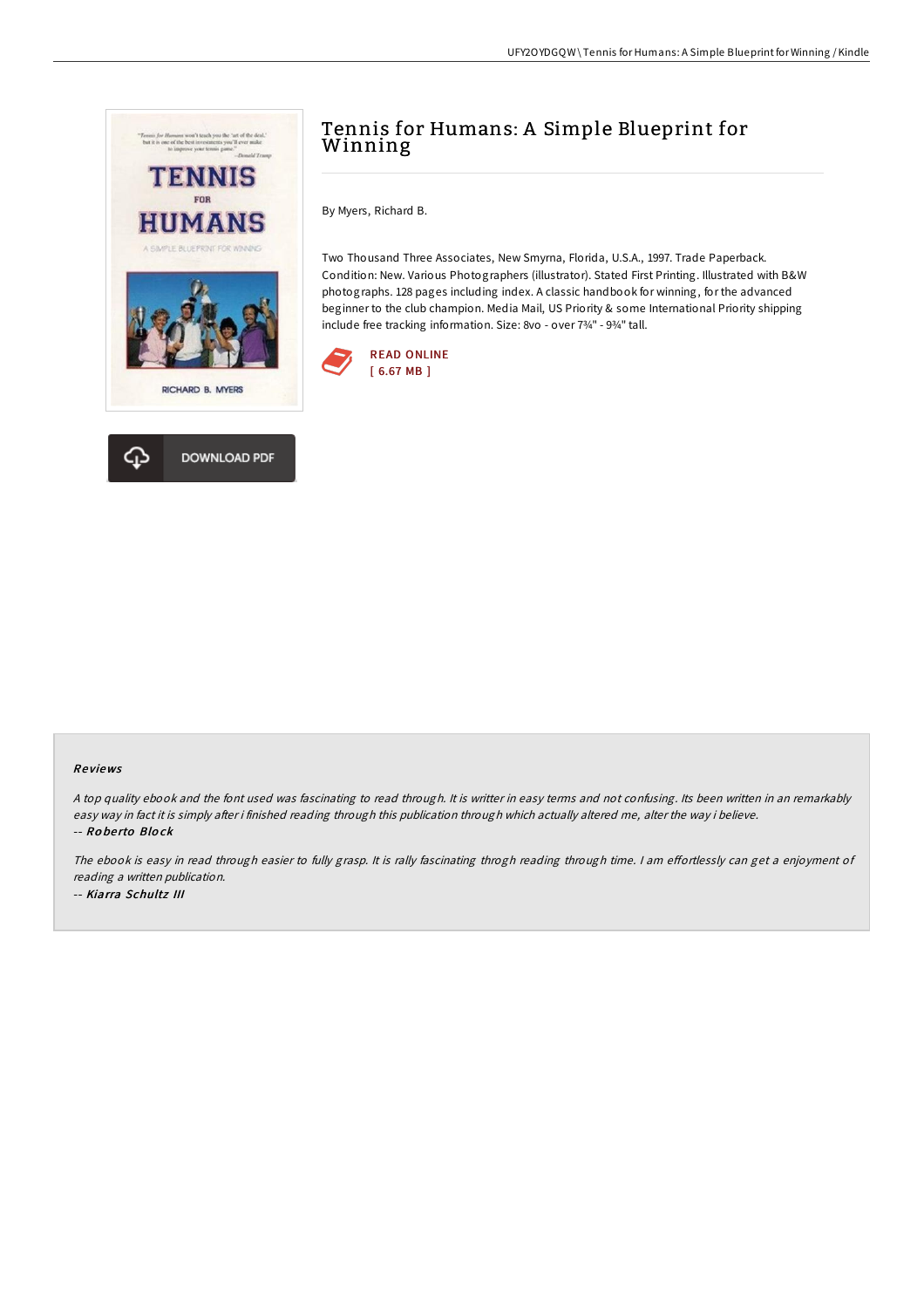



# Tennis for Humans: A Simple Blueprint for Winning

By Myers, Richard B.

Two Thousand Three Associates, New Smyrna, Florida, U.S.A., 1997. Trade Paperback. Condition: New. Various Photographers (illustrator). Stated First Printing. Illustrated with B&W photographs. 128 pages including index. A classic handbook for winning, for the advanced beginner to the club champion. Media Mail, US Priority & some International Priority shipping include free tracking information. Size: 8vo - over 7¾" - 9¾" tall.



## Re views

<sup>A</sup> top quality ebook and the font used was fascinating to read through. It is writter in easy terms and not confusing. Its been written in an remarkably easy way in fact it is simply after i finished reading through this publication through which actually altered me, alter the way i believe. -- Ro be rto Blo ck

The ebook is easy in read through easier to fully grasp. It is rally fascinating throgh reading through time. I am effortlessly can get a enjoyment of reading <sup>a</sup> written publication. -- Kiarra Schultz III